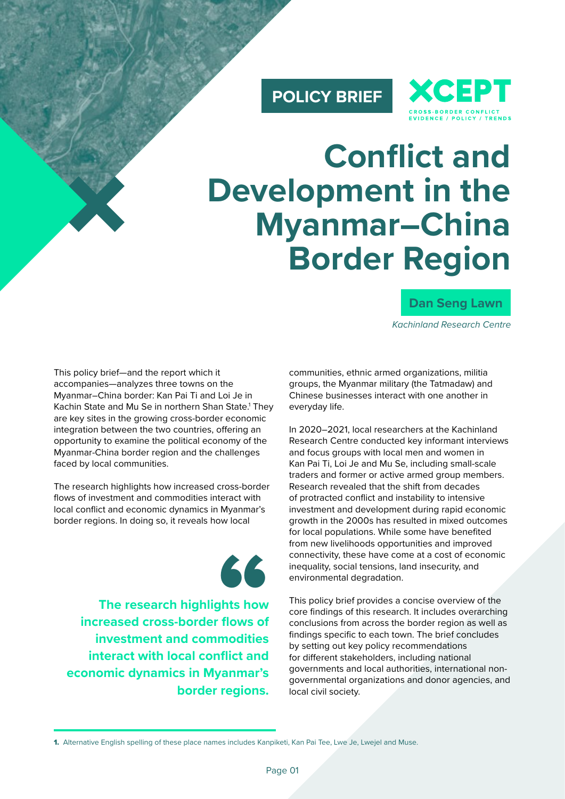### **POLICY BRIEF**



# **Conflict and Development in the Myanmar–China Border Region**

### **Dan Seng Lawn**

*Kachinland Research Centre*

This policy brief—and the report which it accompanies—analyzes three towns on the Myanmar–China border: Kan Pai Ti and Loi Je in Kachin State and Mu Se in northern Shan State.1 They are key sites in the growing cross-border economic integration between the two countries, offering an opportunity to examine the political economy of the Myanmar-China border region and the challenges faced by local communities.

The research highlights how increased cross-border flows of investment and commodities interact with local conflict and economic dynamics in Myanmar's border regions. In doing so, it reveals how local



**increased cross-border flows of investment and commodities The research highlights how interact with local conflict and economic dynamics in Myanmar's border regions.**

communities, ethnic armed organizations, militia groups, the Myanmar military (the Tatmadaw) and Chinese businesses interact with one another in everyday life.

In 2020–2021, local researchers at the Kachinland Research Centre conducted key informant interviews and focus groups with local men and women in Kan Pai Ti, Loi Je and Mu Se, including small-scale traders and former or active armed group members. Research revealed that the shift from decades of protracted conflict and instability to intensive investment and development during rapid economic growth in the 2000s has resulted in mixed outcomes for local populations. While some have benefited from new livelihoods opportunities and improved connectivity, these have come at a cost of economic inequality, social tensions, land insecurity, and environmental degradation.

This policy brief provides a concise overview of the core findings of this research. It includes overarching conclusions from across the border region as well as findings specific to each town. The brief concludes by setting out key policy recommendations for different stakeholders, including national governments and local authorities, international nongovernmental organizations and donor agencies, and local civil society.

<sup>1.</sup> Alternative English spelling of these place names includes Kanpiketi, Kan Pai Tee, Lwe Je, Lwejel and Muse.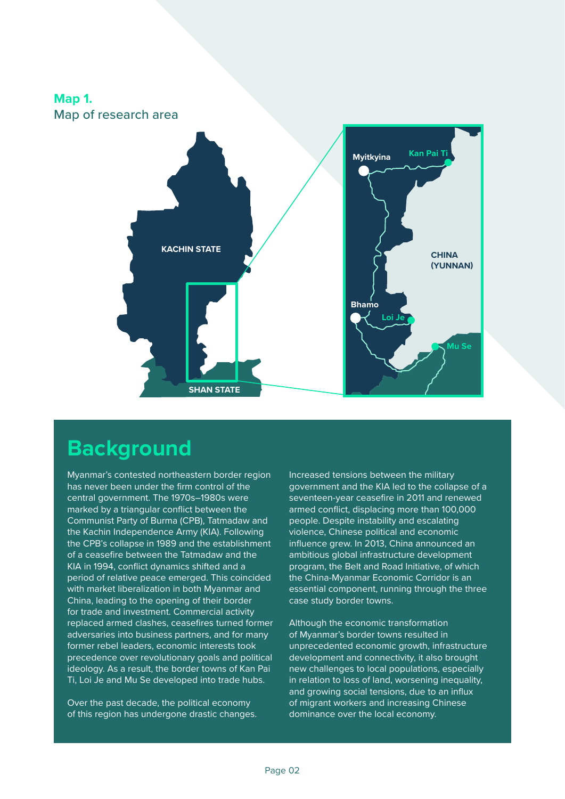

### **Background**

Myanmar's contested northeastern border region has never been under the firm control of the central government. The 1970s–1980s were marked by a triangular conflict between the Communist Party of Burma (CPB), Tatmadaw and the Kachin Independence Army (KIA). Following the CPB's collapse in 1989 and the establishment of a ceasefire between the Tatmadaw and the KIA in 1994, conflict dynamics shifted and a period of relative peace emerged. This coincided with market liberalization in both Myanmar and China, leading to the opening of their border for trade and investment. Commercial activity replaced armed clashes, ceasefires turned former adversaries into business partners, and for many former rebel leaders, economic interests took precedence over revolutionary goals and political ideology. As a result, the border towns of Kan Pai Ti, Loi Je and Mu Se developed into trade hubs.

Over the past decade, the political economy of this region has undergone drastic changes. Increased tensions between the military government and the KIA led to the collapse of a seventeen-year ceasefire in 2011 and renewed armed conflict, displacing more than 100,000 people. Despite instability and escalating violence, Chinese political and economic influence grew. In 2013, China announced an ambitious global infrastructure development program, the Belt and Road Initiative, of which the China-Myanmar Economic Corridor is an essential component, running through the three case study border towns.

Although the economic transformation of Myanmar's border towns resulted in unprecedented economic growth, infrastructure development and connectivity, it also brought new challenges to local populations, especially in relation to loss of land, worsening inequality, and growing social tensions, due to an influx of migrant workers and increasing Chinese dominance over the local economy.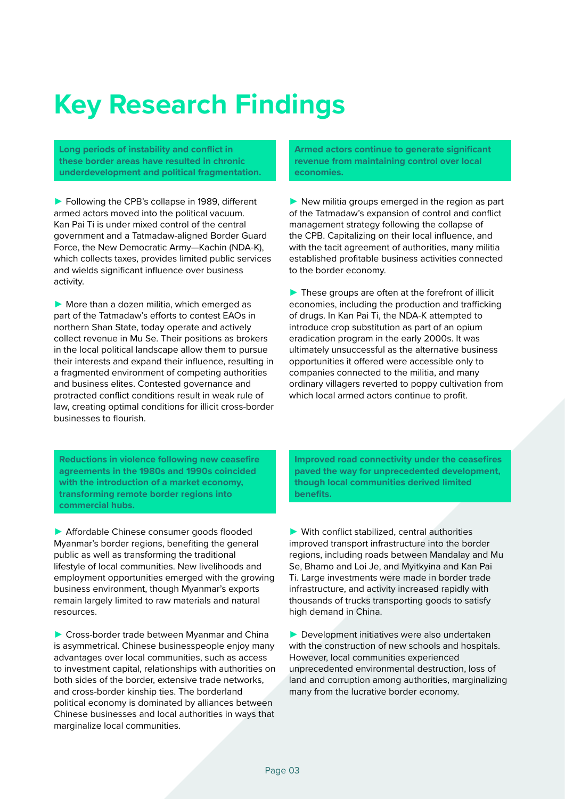## **Key Research Findings**

**Long periods of instability and conflict in these border areas have resulted in chronic underdevelopment and political fragmentation.** 

► Following the CPB's collapse in 1989, different armed actors moved into the political vacuum. Kan Pai Ti is under mixed control of the central government and a Tatmadaw-aligned Border Guard Force, the New Democratic Army—Kachin (NDA-K), which collects taxes, provides limited public services and wields significant influence over business activity.

▶ More than a dozen militia, which emerged as part of the Tatmadaw's efforts to contest EAOs in northern Shan State, today operate and actively collect revenue in Mu Se. Their positions as brokers in the local political landscape allow them to pursue their interests and expand their influence, resulting in a fragmented environment of competing authorities and business elites. Contested governance and protracted conflict conditions result in weak rule of law, creating optimal conditions for illicit cross-border businesses to flourish.

**Armed actors continue to generate significant revenue from maintaining control over local economies.**

▶ New militia groups emerged in the region as part of the Tatmadaw's expansion of control and conflict management strategy following the collapse of the CPB. Capitalizing on their local influence, and with the tacit agreement of authorities, many militia established profitable business activities connected to the border economy.

 $\blacktriangleright$  These groups are often at the forefront of illicit economies, including the production and trafficking of drugs. In Kan Pai Ti, the NDA-K attempted to introduce crop substitution as part of an opium eradication program in the early 2000s. It was ultimately unsuccessful as the alternative business opportunities it offered were accessible only to companies connected to the militia, and many ordinary villagers reverted to poppy cultivation from which local armed actors continue to profit.

**Reductions in violence following new ceasefire agreements in the 1980s and 1990s coincided with the introduction of a market economy, transforming remote border regions into commercial hubs.** 

► Affordable Chinese consumer goods flooded Myanmar's border regions, benefiting the general public as well as transforming the traditional lifestyle of local communities. New livelihoods and employment opportunities emerged with the growing business environment, though Myanmar's exports remain largely limited to raw materials and natural resources.

▶ Cross-border trade between Myanmar and China is asymmetrical. Chinese businesspeople enjoy many advantages over local communities, such as access to investment capital, relationships with authorities on both sides of the border, extensive trade networks, and cross-border kinship ties. The borderland political economy is dominated by alliances between Chinese businesses and local authorities in ways that marginalize local communities.

**Improved road connectivity under the ceasefires paved the way for unprecedented development, though local communities derived limited benefits.** 

► With conflict stabilized, central authorities improved transport infrastructure into the border regions, including roads between Mandalay and Mu Se, Bhamo and Loi Je, and Myitkyina and Kan Pai Ti. Large investments were made in border trade infrastructure, and activity increased rapidly with thousands of trucks transporting goods to satisfy high demand in China.

► Development initiatives were also undertaken with the construction of new schools and hospitals. However, local communities experienced unprecedented environmental destruction, loss of land and corruption among authorities, marginalizing many from the lucrative border economy.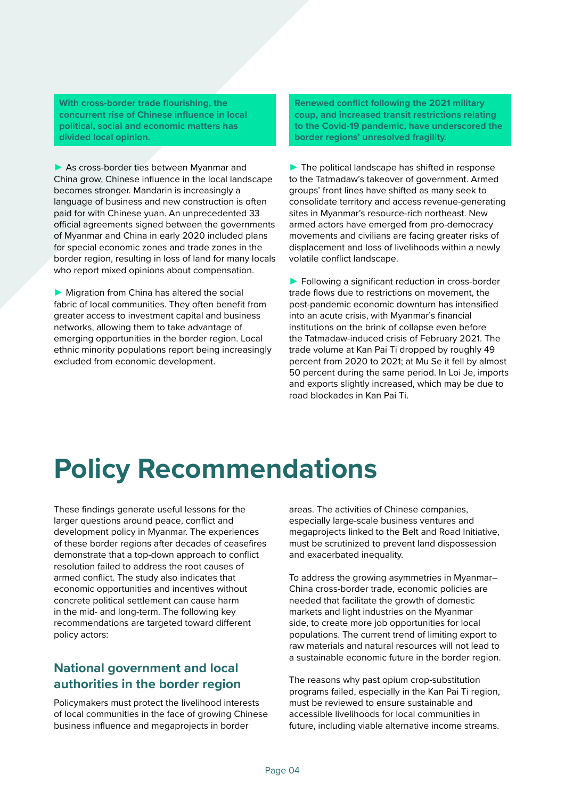**With cross-border trade flourishing, the concurrent rise of Chinese influence in local political, social and economic matters has divided local opinion.** 

▶ As cross-border ties between Myanmar and China grow, Chinese influence in the local landscape becomes stronger. Mandarin is increasingly a language of business and new construction is often paid for with Chinese yuan. An unprecedented 33 official agreements signed between the governments of Myanmar and China in early 2020 included plans for special economic zones and trade zones in the border region, resulting in loss of land for many locals who report mixed opinions about compensation.

► Migration from China has altered the social fabric of local communities. They often benefit from greater access to investment capital and business networks, allowing them to take advantage of emerging opportunities in the border region. Local ethnic minority populations report being increasingly excluded from economic development.

**Renewed conflict following the 2021 military coup, and increased transit restrictions relating to the Covid-19 pandemic, have underscored the border regions' unresolved fragility.** 

 $\blacktriangleright$  The political landscape has shifted in response to the Tatmadaw's takeover of government. Armed groups' front lines have shifted as many seek to consolidate territory and access revenue-generating sites in Myanmar's resource-rich northeast. New armed actors have emerged from pro-democracy movements and civilians are facing greater risks of displacement and loss of livelihoods within a newly volatile conflict landscape.

▶ Following a significant reduction in cross-border trade flows due to restrictions on movement, the post-pandemic economic downturn has intensified into an acute crisis, with Myanmar's financial institutions on the brink of collapse even before the Tatmadaw-induced crisis of February 2021. The trade volume at Kan Pai Ti dropped by roughly 49 percent from 2020 to 2021; at Mu Se it fell by almost 50 percent during the same period. In Loi Je, imports and exports slightly increased, which may be due to road blockades in Kan Pai Ti.

## **Policy Recommendations**

These findings generate useful lessons for the larger questions around peace, conflict and development policy in Myanmar. The experiences of these border regions after decades of ceasefires demonstrate that a top-down approach to conflict resolution failed to address the root causes of armed conflict. The study also indicates that economic opportunities and incentives without concrete political settlement can cause harm in the mid- and long-term. The following key recommendations are targeted toward different policy actors:

### **National government and local authorities in the border region**

Policymakers must protect the livelihood interests of local communities in the face of growing Chinese business influence and megaprojects in border

areas. The activities of Chinese companies, especially large-scale business ventures and megaprojects linked to the Belt and Road Initiative, must be scrutinized to prevent land dispossession and exacerbated inequality.

To address the growing asymmetries in Myanmar– China cross-border trade, economic policies are needed that facilitate the growth of domestic markets and light industries on the Myanmar side, to create more job opportunities for local populations. The current trend of limiting export to raw materials and natural resources will not lead to a sustainable economic future in the border region.

The reasons why past opium crop-substitution programs failed, especially in the Kan Pai Ti region, must be reviewed to ensure sustainable and accessible livelihoods for local communities in future, including viable alternative income streams.